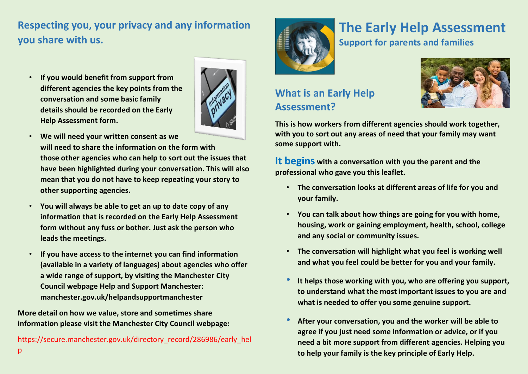## **Respecting you, your privacy and any information you share with us.**

• **If you would benefit from support from different agencies the key points from the conversation and some basic family details should be recorded on the Early Help Assessment form.**



- **We will need your written consent as we will need to share the information on the form with those other agencies who can help to sort out the issues that have been highlighted during your conversation. This will also mean that you do not have to keep repeating your story to other supporting agencies.**
- **You will always be able to get an up to date copy of any information that is recorded on the Early Help Assessment form without any fuss or bother. Just ask the person who leads the meetings.**
- **If you have access to the internet you can find information (available in a variety of languages) about agencies who offer a wide range of support, by visiting the Manchester City Council webpage Help and Support Manchester: manchester.gov.uk/helpandsupportmanchester**

**More detail on how we value, store and sometimes share information please visit the Manchester City Council webpage:** 

[https://secure.manchester.gov.uk/directory\\_record/286986/early\\_hel](https://secure.manchester.gov.uk/directory_record/286986/early_help)  $\mathsf{D}$ 



# **The Early Help Assessment**

**Support for parents and families**



#### **What is an Early Help Assessment?**

**This is how workers from different agencies should work together, with you to sort out any areas of need that your family may want some support with.** 

**It begins with a conversation with you the parent and the professional who gave you this leaflet.** 

- **The conversation looks at different areas of life for you and your family.**
- **You can talk about how things are going for you with home, housing, work or gaining employment, health, school, college and any social or community issues.**
- **The conversation will highlight what you feel is working well and what you feel could be better for you and your family.**
- **It helps those working with you, who are offering you support, to understand what the most important issues to you are and what is needed to offer you some genuine support.**
- **After your conversation, you and the worker will be able to agree if you just need some information or advice, or if you need a bit more support from different agencies. Helping you to help your family is the key principle of Early Help.**